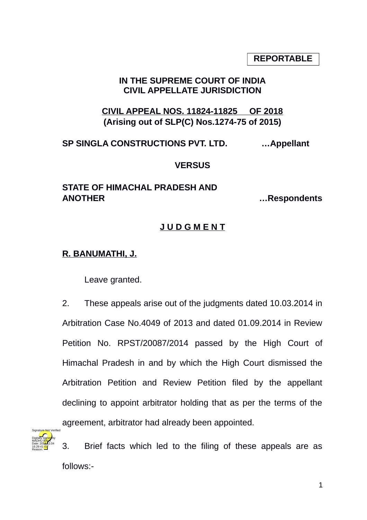**REPORTABLE**

# **IN THE SUPREME COURT OF INDIA CIVIL APPELLATE JURISDICTION**

**CIVIL APPEAL NOS. 11824-11825 OF 2018 (Arising out of SLP(C) Nos.1274-75 of 2015)**

**SP SINGLA CONSTRUCTIONS PVT. LTD. …Appellant**

#### **VERSUS**

# **STATE OF HIMACHAL PRADESH AND ANOTHER …Respondents**

# **J U D G M E N T**

#### **R. BANUMATHI, J.**

Leave granted.

2. These appeals arise out of the judgments dated 10.03.2014 in Arbitration Case No.4049 of 2013 and dated 01.09.2014 in Review Petition No. RPST/20087/2014 passed by the High Court of Himachal Pradesh in and by which the High Court dismissed the Arbitration Petition and Review Petition filed by the appellant declining to appoint arbitrator holding that as per the terms of the agreement, arbitrator had already been appointed.



3. Brief facts which led to the filing of these appeals are as follows:-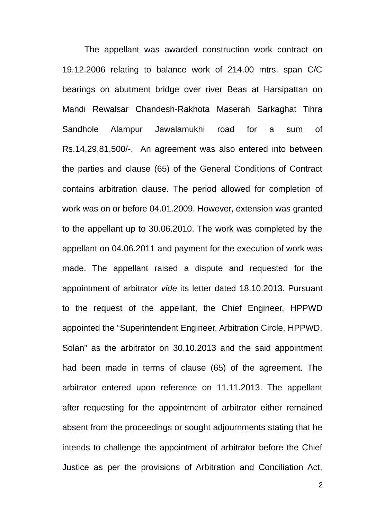The appellant was awarded construction work contract on 19.12.2006 relating to balance work of 214.00 mtrs. span C/C bearings on abutment bridge over river Beas at Harsipattan on Mandi Rewalsar Chandesh-Rakhota Maserah Sarkaghat Tihra Sandhole Alampur Jawalamukhi road for a sum of Rs.14,29,81,500/-. An agreement was also entered into between the parties and clause (65) of the General Conditions of Contract contains arbitration clause. The period allowed for completion of work was on or before 04.01.2009. However, extension was granted to the appellant up to 30.06.2010. The work was completed by the appellant on 04.06.2011 and payment for the execution of work was made. The appellant raised a dispute and requested for the appointment of arbitrator *vide* its letter dated 18.10.2013. Pursuant to the request of the appellant, the Chief Engineer, HPPWD appointed the "Superintendent Engineer, Arbitration Circle, HPPWD, Solan" as the arbitrator on 30.10.2013 and the said appointment had been made in terms of clause (65) of the agreement. The arbitrator entered upon reference on 11.11.2013. The appellant after requesting for the appointment of arbitrator either remained absent from the proceedings or sought adjournments stating that he intends to challenge the appointment of arbitrator before the Chief Justice as per the provisions of Arbitration and Conciliation Act,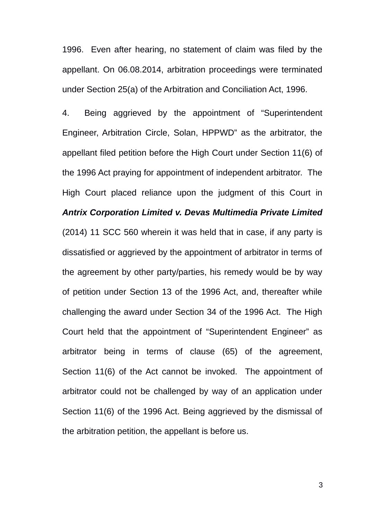1996. Even after hearing, no statement of claim was filed by the appellant. On 06.08.2014, arbitration proceedings were terminated under Section 25(a) of the Arbitration and Conciliation Act, 1996.

4. Being aggrieved by the appointment of "Superintendent Engineer, Arbitration Circle, Solan, HPPWD" as the arbitrator, the appellant filed petition before the High Court under Section 11(6) of the 1996 Act praying for appointment of independent arbitrator. The High Court placed reliance upon the judgment of this Court in *Antrix Corporation Limited v. Devas Multimedia Private Limited* (2014) 11 SCC 560 wherein it was held that in case, if any party is dissatisfied or aggrieved by the appointment of arbitrator in terms of the agreement by other party/parties, his remedy would be by way of petition under Section 13 of the 1996 Act, and, thereafter while challenging the award under Section 34 of the 1996 Act. The High Court held that the appointment of "Superintendent Engineer" as arbitrator being in terms of clause (65) of the agreement, Section 11(6) of the Act cannot be invoked. The appointment of arbitrator could not be challenged by way of an application under Section 11(6) of the 1996 Act. Being aggrieved by the dismissal of the arbitration petition, the appellant is before us.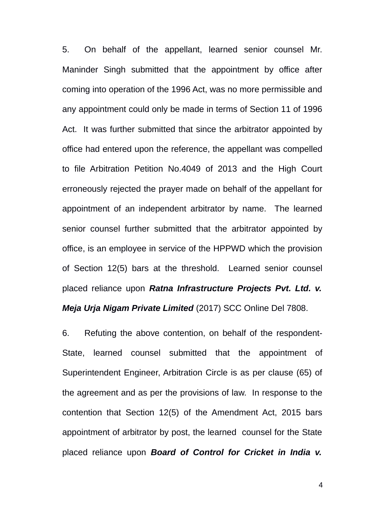5. On behalf of the appellant, learned senior counsel Mr. Maninder Singh submitted that the appointment by office after coming into operation of the 1996 Act, was no more permissible and any appointment could only be made in terms of Section 11 of 1996 Act. It was further submitted that since the arbitrator appointed by office had entered upon the reference, the appellant was compelled to file Arbitration Petition No.4049 of 2013 and the High Court erroneously rejected the prayer made on behalf of the appellant for appointment of an independent arbitrator by name. The learned senior counsel further submitted that the arbitrator appointed by office, is an employee in service of the HPPWD which the provision of Section 12(5) bars at the threshold. Learned senior counsel placed reliance upon *Ratna Infrastructure Projects Pvt. Ltd. v. Meja Urja Nigam Private Limited* (2017) SCC Online Del 7808.

6. Refuting the above contention, on behalf of the respondent-State, learned counsel submitted that the appointment of Superintendent Engineer, Arbitration Circle is as per clause (65) of the agreement and as per the provisions of law. In response to the contention that Section 12(5) of the Amendment Act, 2015 bars appointment of arbitrator by post, the learned counsel for the State placed reliance upon *Board of Control for Cricket in India v.*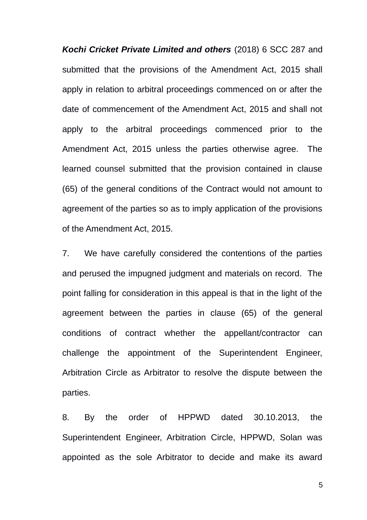*Kochi Cricket Private Limited and others* (2018) 6 SCC 287 and submitted that the provisions of the Amendment Act, 2015 shall apply in relation to arbitral proceedings commenced on or after the date of commencement of the Amendment Act, 2015 and shall not apply to the arbitral proceedings commenced prior to the Amendment Act, 2015 unless the parties otherwise agree. The learned counsel submitted that the provision contained in clause (65) of the general conditions of the Contract would not amount to agreement of the parties so as to imply application of the provisions of the Amendment Act, 2015.

7. We have carefully considered the contentions of the parties and perused the impugned judgment and materials on record. The point falling for consideration in this appeal is that in the light of the agreement between the parties in clause (65) of the general conditions of contract whether the appellant/contractor can challenge the appointment of the Superintendent Engineer, Arbitration Circle as Arbitrator to resolve the dispute between the parties.

8. By the order of HPPWD dated 30.10.2013, the Superintendent Engineer, Arbitration Circle, HPPWD, Solan was appointed as the sole Arbitrator to decide and make its award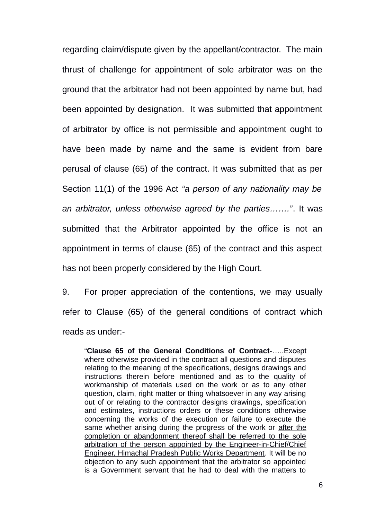regarding claim/dispute given by the appellant/contractor. The main thrust of challenge for appointment of sole arbitrator was on the ground that the arbitrator had not been appointed by name but, had been appointed by designation. It was submitted that appointment of arbitrator by office is not permissible and appointment ought to have been made by name and the same is evident from bare perusal of clause (65) of the contract. It was submitted that as per Section 11(1) of the 1996 Act *"a person of any nationality may be an arbitrator, unless otherwise agreed by the parties……."*. It was submitted that the Arbitrator appointed by the office is not an appointment in terms of clause (65) of the contract and this aspect has not been properly considered by the High Court.

9. For proper appreciation of the contentions, we may usually refer to Clause (65) of the general conditions of contract which reads as under:-

"**Clause 65 of the General Conditions of Contract-**…..Except where otherwise provided in the contract all questions and disputes relating to the meaning of the specifications, designs drawings and instructions therein before mentioned and as to the quality of workmanship of materials used on the work or as to any other question, claim, right matter or thing whatsoever in any way arising out of or relating to the contractor designs drawings, specification and estimates, instructions orders or these conditions otherwise concerning the works of the execution or failure to execute the same whether arising during the progress of the work or after the completion or abandonment thereof shall be referred to the sole arbitration of the person appointed by the Engineer-in-Chief/Chief Engineer, Himachal Pradesh Public Works Department. It will be no objection to any such appointment that the arbitrator so appointed is a Government servant that he had to deal with the matters to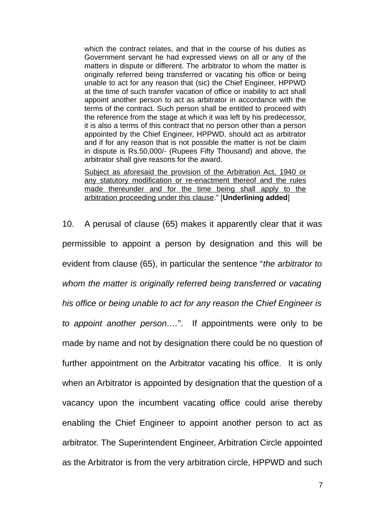which the contract relates, and that in the course of his duties as Government servant he had expressed views on all or any of the matters in dispute or different. The arbitrator to whom the matter is originally referred being transferred or vacating his office or being unable to act for any reason that (sic) the Chief Engineer, HPPWD at the time of such transfer vacation of office or inability to act shall appoint another person to act as arbitrator in accordance with the terms of the contract. Such person shall be entitled to proceed with the reference from the stage at which it was left by his predecessor, it is also a terms of this contract that no person other than a person appointed by the Chief Engineer, HPPWD, should act as arbitrator and if for any reason that is not possible the matter is not be claim in dispute is Rs.50,000/- (Rupees Fifty Thousand) and above, the arbitrator shall give reasons for the award.

Subject as aforesaid the provision of the Arbitration Act, 1940 or any statutory modification or re-enactment thereof and the rules made thereunder and for the time being shall apply to the arbitration proceeding under this clause." [**Underlining added**]

10. A perusal of clause (65) makes it apparently clear that it was permissible to appoint a person by designation and this will be evident from clause (65), in particular the sentence "*the arbitrator to whom the matter is originally referred being transferred or vacating his office or being unable to act for any reason the Chief Engineer is to appoint another person….*". If appointments were only to be made by name and not by designation there could be no question of further appointment on the Arbitrator vacating his office. It is only when an Arbitrator is appointed by designation that the question of a vacancy upon the incumbent vacating office could arise thereby enabling the Chief Engineer to appoint another person to act as arbitrator. The Superintendent Engineer, Arbitration Circle appointed as the Arbitrator is from the very arbitration circle, HPPWD and such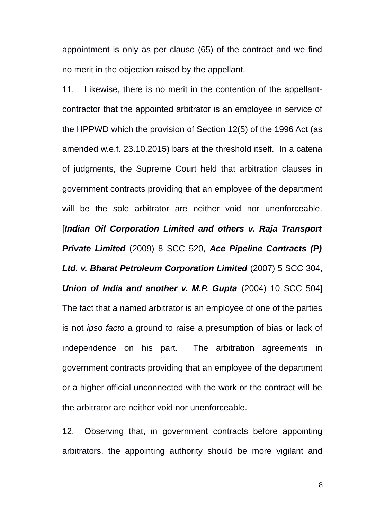appointment is only as per clause (65) of the contract and we find no merit in the objection raised by the appellant.

11. Likewise, there is no merit in the contention of the appellantcontractor that the appointed arbitrator is an employee in service of the HPPWD which the provision of Section 12(5) of the 1996 Act (as amended w.e.f. 23.10.2015) bars at the threshold itself. In a catena of judgments, the Supreme Court held that arbitration clauses in government contracts providing that an employee of the department will be the sole arbitrator are neither void nor unenforceable. [*Indian Oil Corporation Limited and others v. Raja Transport Private Limited* (2009) 8 SCC 520, *Ace Pipeline Contracts (P) Ltd. v. Bharat Petroleum Corporation Limited* (2007) 5 SCC 304, *Union of India and another v. M.P. Gupta* (2004) 10 SCC 504] The fact that a named arbitrator is an employee of one of the parties is not *ipso facto* a ground to raise a presumption of bias or lack of independence on his part. The arbitration agreements in government contracts providing that an employee of the department or a higher official unconnected with the work or the contract will be the arbitrator are neither void nor unenforceable.

12. Observing that, in government contracts before appointing arbitrators, the appointing authority should be more vigilant and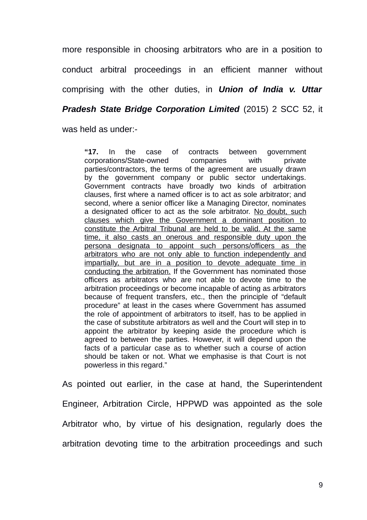more responsible in choosing arbitrators who are in a position to conduct arbitral proceedings in an efficient manner without comprising with the other duties, in *Union of India v. Uttar*

*Pradesh State Bridge Corporation Limited* (2015) 2 SCC 52, it

was held as under:-

**"17.** In the case of contracts between government corporations/State-owned companies with private parties/contractors, the terms of the agreement are usually drawn by the government company or public sector undertakings. Government contracts have broadly two kinds of arbitration clauses, first where a named officer is to act as sole arbitrator; and second, where a senior officer like a Managing Director, nominates a designated officer to act as the sole arbitrator. No doubt, such clauses which give the Government a dominant position to constitute the Arbitral Tribunal are held to be valid. At the same time, it also casts an onerous and responsible duty upon the persona designata to appoint such persons/officers as the arbitrators who are not only able to function independently and impartially, but are in a position to devote adequate time in conducting the arbitration. If the Government has nominated those officers as arbitrators who are not able to devote time to the arbitration proceedings or become incapable of acting as arbitrators because of frequent transfers, etc., then the principle of "default procedure" at least in the cases where Government has assumed the role of appointment of arbitrators to itself, has to be applied in the case of substitute arbitrators as well and the Court will step in to appoint the arbitrator by keeping aside the procedure which is agreed to between the parties. However, it will depend upon the facts of a particular case as to whether such a course of action should be taken or not. What we emphasise is that Court is not powerless in this regard."

As pointed out earlier, in the case at hand, the Superintendent Engineer, Arbitration Circle, HPPWD was appointed as the sole Arbitrator who, by virtue of his designation, regularly does the arbitration devoting time to the arbitration proceedings and such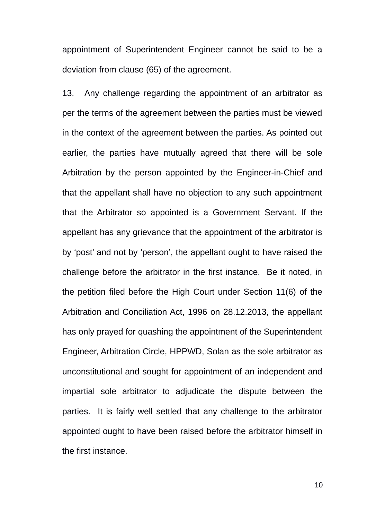appointment of Superintendent Engineer cannot be said to be a deviation from clause (65) of the agreement.

13. Any challenge regarding the appointment of an arbitrator as per the terms of the agreement between the parties must be viewed in the context of the agreement between the parties. As pointed out earlier, the parties have mutually agreed that there will be sole Arbitration by the person appointed by the Engineer-in-Chief and that the appellant shall have no objection to any such appointment that the Arbitrator so appointed is a Government Servant. If the appellant has any grievance that the appointment of the arbitrator is by 'post' and not by 'person', the appellant ought to have raised the challenge before the arbitrator in the first instance. Be it noted, in the petition filed before the High Court under Section 11(6) of the Arbitration and Conciliation Act, 1996 on 28.12.2013, the appellant has only prayed for quashing the appointment of the Superintendent Engineer, Arbitration Circle, HPPWD, Solan as the sole arbitrator as unconstitutional and sought for appointment of an independent and impartial sole arbitrator to adjudicate the dispute between the parties. It is fairly well settled that any challenge to the arbitrator appointed ought to have been raised before the arbitrator himself in the first instance.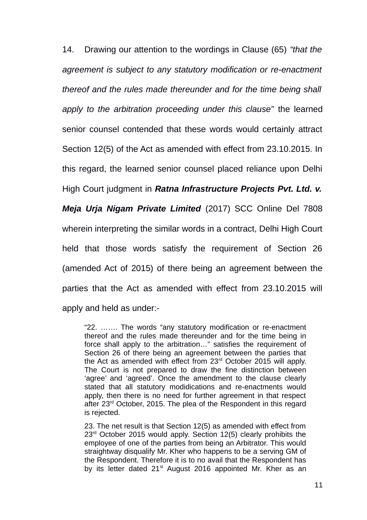14. Drawing our attention to the wordings in Clause (65) *"that the agreement is subject to any statutory modification or re-enactment thereof and the rules made thereunder and for the time being shall apply to the arbitration proceeding under this clause"* the learned senior counsel contended that these words would certainly attract Section 12(5) of the Act as amended with effect from 23.10.2015. In this regard, the learned senior counsel placed reliance upon Delhi High Court judgment in *Ratna Infrastructure Projects Pvt. Ltd. v. Meja Urja Nigam Private Limited* (2017) SCC Online Del 7808 wherein interpreting the similar words in a contract, Delhi High Court held that those words satisfy the requirement of Section 26 (amended Act of 2015) of there being an agreement between the parties that the Act as amended with effect from 23.10.2015 will apply and held as under:-

"22. ……. The words "any statutory modification or re-enactment thereof and the rules made thereunder and for the time being in force shall apply to the arbitration…" satisfies the requirement of Section 26 of there being an agreement between the parties that the Act as amended with effect from 23rd October 2015 will apply. The Court is not prepared to draw the fine distinction between 'agree' and 'agreed'. Once the amendment to the clause clearly stated that all statutory modidications and re-enactments would apply, then there is no need for further agreement in that respect after 23<sup>rd</sup> October, 2015. The plea of the Respondent in this regard is rejected.

23. The net result is that Section 12(5) as amended with effect from 23<sup>rd</sup> October 2015 would apply. Section 12(5) clearly prohibits the employee of one of the parties from being an Arbitrator. This would straightway disqualify Mr. Kher who happens to be a serving GM of the Respondent. Therefore it is to no avail that the Respondent has by its letter dated  $21<sup>st</sup>$  August 2016 appointed Mr. Kher as an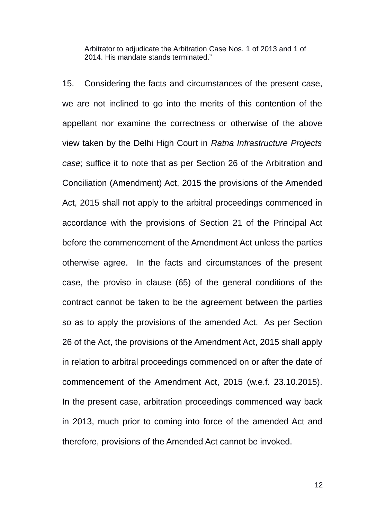Arbitrator to adjudicate the Arbitration Case Nos. 1 of 2013 and 1 of 2014. His mandate stands terminated."

15. Considering the facts and circumstances of the present case, we are not inclined to go into the merits of this contention of the appellant nor examine the correctness or otherwise of the above view taken by the Delhi High Court in *Ratna Infrastructure Projects case*; suffice it to note that as per Section 26 of the Arbitration and Conciliation (Amendment) Act, 2015 the provisions of the Amended Act, 2015 shall not apply to the arbitral proceedings commenced in accordance with the provisions of Section 21 of the Principal Act before the commencement of the Amendment Act unless the parties otherwise agree. In the facts and circumstances of the present case, the proviso in clause (65) of the general conditions of the contract cannot be taken to be the agreement between the parties so as to apply the provisions of the amended Act. As per Section 26 of the Act, the provisions of the Amendment Act, 2015 shall apply in relation to arbitral proceedings commenced on or after the date of commencement of the Amendment Act, 2015 (w.e.f. 23.10.2015). In the present case, arbitration proceedings commenced way back in 2013, much prior to coming into force of the amended Act and therefore, provisions of the Amended Act cannot be invoked.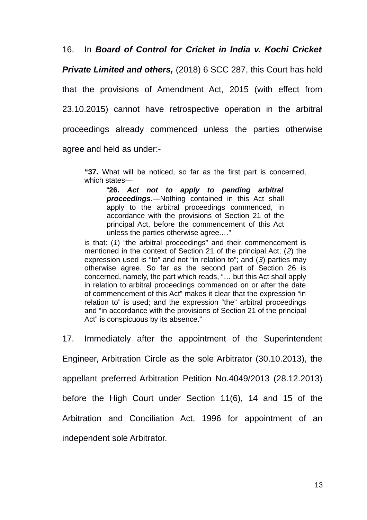16. In *Board of Control for Cricket in India v. Kochi Cricket*

*Private Limited and others,* (2018) 6 SCC 287, this Court has held that the provisions of Amendment Act, 2015 (with effect from 23.10.2015) cannot have retrospective operation in the arbitral proceedings already commenced unless the parties otherwise agree and held as under:-

**"37.** What will be noticed, so far as the first part is concerned, which states—

"**26.** *Act not to apply to pending arbitral proceedings*.—Nothing contained in this Act shall apply to the arbitral proceedings commenced, in accordance with the provisions of Section 21 of the principal Act, before the commencement of this Act unless the parties otherwise agree.…"

is that: (*1*) "the arbitral proceedings" and their commencement is mentioned in the context of Section 21 of the principal Act; (*2*) the expression used is "to" and not "in relation to"; and (*3*) parties may otherwise agree. So far as the second part of Section 26 is concerned, namely, the part which reads, "… but this Act shall apply in relation to arbitral proceedings commenced on or after the date of commencement of this Act" makes it clear that the expression "in relation to" is used; and the expression "the" arbitral proceedings and "in accordance with the provisions of Section 21 of the principal Act" is conspicuous by its absence."

17. Immediately after the appointment of the Superintendent

Engineer, Arbitration Circle as the sole Arbitrator (30.10.2013), the

appellant preferred Arbitration Petition No.4049/2013 (28.12.2013)

before the High Court under Section 11(6), 14 and 15 of the

Arbitration and Conciliation Act, 1996 for appointment of an

independent sole Arbitrator.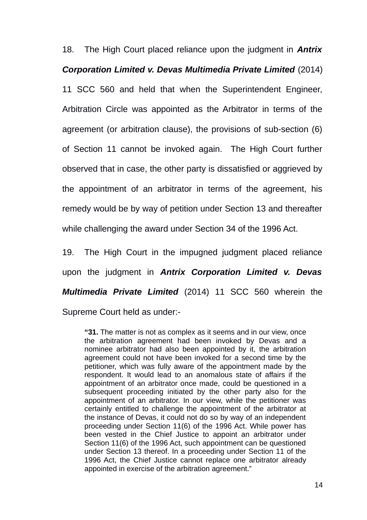18. The High Court placed reliance upon the judgment in *Antrix Corporation Limited v. Devas Multimedia Private Limited* (2014) 11 SCC 560 and held that when the Superintendent Engineer, Arbitration Circle was appointed as the Arbitrator in terms of the agreement (or arbitration clause), the provisions of sub-section (6) of Section 11 cannot be invoked again. The High Court further observed that in case, the other party is dissatisfied or aggrieved by the appointment of an arbitrator in terms of the agreement, his remedy would be by way of petition under Section 13 and thereafter while challenging the award under Section 34 of the 1996 Act.

19. The High Court in the impugned judgment placed reliance upon the judgment in *Antrix Corporation Limited v. Devas Multimedia Private Limited* (2014) 11 SCC 560 wherein the Supreme Court held as under:-

**"31.** The matter is not as complex as it seems and in our view, once the arbitration agreement had been invoked by Devas and a nominee arbitrator had also been appointed by it, the arbitration agreement could not have been invoked for a second time by the petitioner, which was fully aware of the appointment made by the respondent. It would lead to an anomalous state of affairs if the appointment of an arbitrator once made, could be questioned in a subsequent proceeding initiated by the other party also for the appointment of an arbitrator. In our view, while the petitioner was certainly entitled to challenge the appointment of the arbitrator at the instance of Devas, it could not do so by way of an independent proceeding under Section 11(6) of the 1996 Act. While power has been vested in the Chief Justice to appoint an arbitrator under Section 11(6) of the 1996 Act, such appointment can be questioned under Section 13 thereof. In a proceeding under Section 11 of the 1996 Act, the Chief Justice cannot replace one arbitrator already appointed in exercise of the arbitration agreement."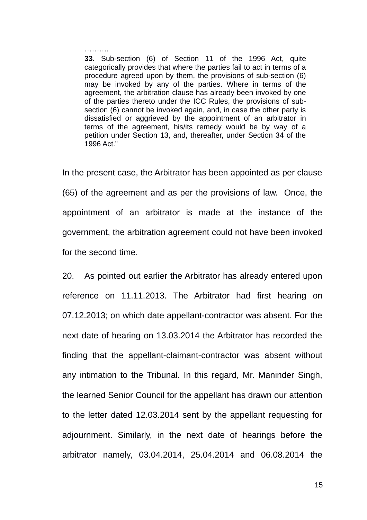………

**33.** Sub-section (6) of Section 11 of the 1996 Act, quite categorically provides that where the parties fail to act in terms of a procedure agreed upon by them, the provisions of sub-section (6) may be invoked by any of the parties. Where in terms of the agreement, the arbitration clause has already been invoked by one of the parties thereto under the ICC Rules, the provisions of subsection (6) cannot be invoked again, and, in case the other party is dissatisfied or aggrieved by the appointment of an arbitrator in terms of the agreement, his/its remedy would be by way of a petition under Section 13, and, thereafter, under Section 34 of the 1996 Act."

In the present case, the Arbitrator has been appointed as per clause (65) of the agreement and as per the provisions of law. Once, the appointment of an arbitrator is made at the instance of the government, the arbitration agreement could not have been invoked for the second time.

20. As pointed out earlier the Arbitrator has already entered upon reference on 11.11.2013. The Arbitrator had first hearing on 07.12.2013; on which date appellant-contractor was absent. For the next date of hearing on 13.03.2014 the Arbitrator has recorded the finding that the appellant-claimant-contractor was absent without any intimation to the Tribunal. In this regard, Mr. Maninder Singh, the learned Senior Council for the appellant has drawn our attention to the letter dated 12.03.2014 sent by the appellant requesting for adjournment. Similarly, in the next date of hearings before the arbitrator namely, 03.04.2014, 25.04.2014 and 06.08.2014 the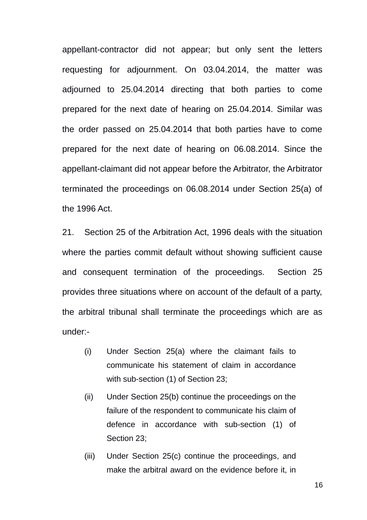appellant-contractor did not appear; but only sent the letters requesting for adjournment. On 03.04.2014, the matter was adjourned to 25.04.2014 directing that both parties to come prepared for the next date of hearing on 25.04.2014. Similar was the order passed on 25.04.2014 that both parties have to come prepared for the next date of hearing on 06.08.2014. Since the appellant-claimant did not appear before the Arbitrator, the Arbitrator terminated the proceedings on 06.08.2014 under Section 25(a) of the 1996 Act.

21. Section 25 of the Arbitration Act, 1996 deals with the situation where the parties commit default without showing sufficient cause and consequent termination of the proceedings. Section 25 provides three situations where on account of the default of a party, the arbitral tribunal shall terminate the proceedings which are as under:-

- (i) Under Section 25(a) where the claimant fails to communicate his statement of claim in accordance with sub-section (1) of Section 23;
- (ii) Under Section 25(b) continue the proceedings on the failure of the respondent to communicate his claim of defence in accordance with sub-section (1) of Section 23;
- (iii) Under Section 25(c) continue the proceedings, and make the arbitral award on the evidence before it, in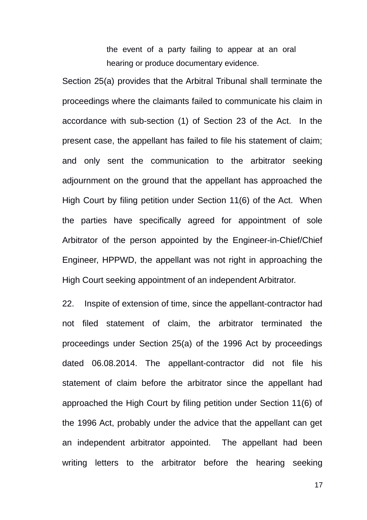the event of a party failing to appear at an oral hearing or produce documentary evidence.

Section 25(a) provides that the Arbitral Tribunal shall terminate the proceedings where the claimants failed to communicate his claim in accordance with sub-section (1) of Section 23 of the Act. In the present case, the appellant has failed to file his statement of claim; and only sent the communication to the arbitrator seeking adjournment on the ground that the appellant has approached the High Court by filing petition under Section 11(6) of the Act. When the parties have specifically agreed for appointment of sole Arbitrator of the person appointed by the Engineer-in-Chief/Chief Engineer, HPPWD, the appellant was not right in approaching the High Court seeking appointment of an independent Arbitrator.

22. Inspite of extension of time, since the appellant-contractor had not filed statement of claim, the arbitrator terminated the proceedings under Section 25(a) of the 1996 Act by proceedings dated 06.08.2014. The appellant-contractor did not file his statement of claim before the arbitrator since the appellant had approached the High Court by filing petition under Section 11(6) of the 1996 Act, probably under the advice that the appellant can get an independent arbitrator appointed. The appellant had been writing letters to the arbitrator before the hearing seeking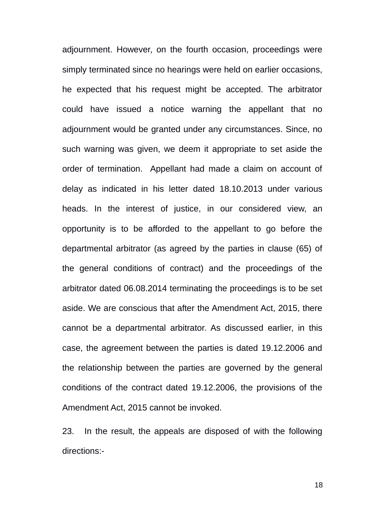adjournment. However, on the fourth occasion, proceedings were simply terminated since no hearings were held on earlier occasions, he expected that his request might be accepted. The arbitrator could have issued a notice warning the appellant that no adjournment would be granted under any circumstances. Since, no such warning was given, we deem it appropriate to set aside the order of termination. Appellant had made a claim on account of delay as indicated in his letter dated 18.10.2013 under various heads. In the interest of justice, in our considered view, an opportunity is to be afforded to the appellant to go before the departmental arbitrator (as agreed by the parties in clause (65) of the general conditions of contract) and the proceedings of the arbitrator dated 06.08.2014 terminating the proceedings is to be set aside. We are conscious that after the Amendment Act, 2015, there cannot be a departmental arbitrator. As discussed earlier, in this case, the agreement between the parties is dated 19.12.2006 and the relationship between the parties are governed by the general conditions of the contract dated 19.12.2006, the provisions of the Amendment Act, 2015 cannot be invoked.

23. In the result, the appeals are disposed of with the following directions:-